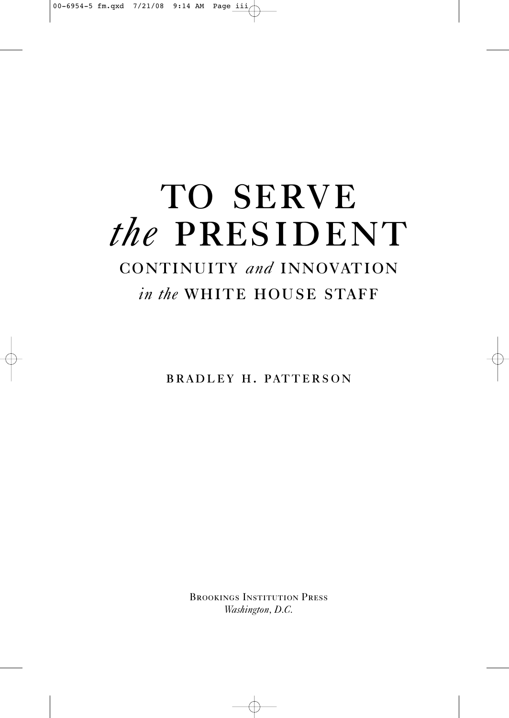# TO SERVE *the* PRESIDENT continuity *and* innovation

*in the* WHITE HOUSE STAFF

bradley h. patterson

Brookings Institution Press *Washington, D.C.*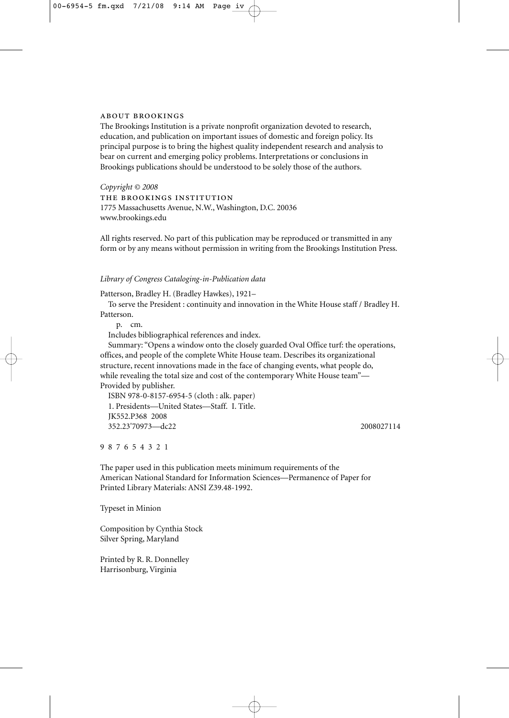#### about brookings

The Brookings Institution is a private nonprofit organization devoted to research, education, and publication on important issues of domestic and foreign policy. Its principal purpose is to bring the highest quality independent research and analysis to bear on current and emerging policy problems. Interpretations or conclusions in Brookings publications should be understood to be solely those of the authors.

*Copyright © 2008* the brookings institution 1775 Massachusetts Avenue, N.W., Washington, D.C. 20036 www.brookings.edu

All rights reserved. No part of this publication may be reproduced or transmitted in any form or by any means without permission in writing from the Brookings Institution Press.

#### *Library of Congress Cataloging-in-Publication data*

Patterson, Bradley H. (Bradley Hawkes), 1921–

To serve the President : continuity and innovation in the White House staff / Bradley H. Patterson.

p. cm.

Includes bibliographical references and index.

Summary: "Opens a window onto the closely guarded Oval Office turf: the operations, offices, and people of the complete White House team. Describes its organizational structure, recent innovations made in the face of changing events, what people do, while revealing the total size and cost of the contemporary White House team"— Provided by publisher.

ISBN 978-0-8157-6954-5 (cloth : alk. paper) 1. Presidents—United States—Staff. I. Title. JK552.P368 2008 352.23'70973—dc22 2008027114

987654321

The paper used in this publication meets minimum requirements of the American National Standard for Information Sciences—Permanence of Paper for Printed Library Materials: ANSI Z39.48-1992.

Typeset in Minion

Composition by Cynthia Stock Silver Spring, Maryland

Printed by R. R. Donnelley Harrisonburg, Virginia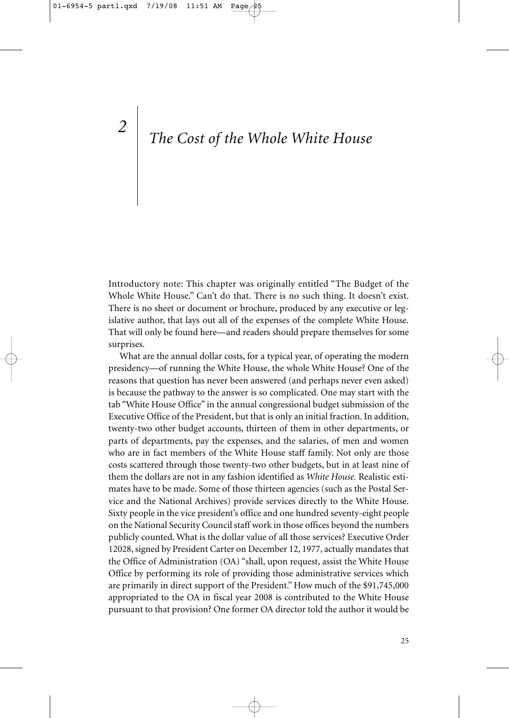# *<sup>2</sup> The Cost of the Whole White House*

Introductory note: This chapter was originally entitled "The Budget of the Whole White House." Can't do that. There is no such thing. It doesn't exist. There is no sheet or document or brochure, produced by any executive or legislative author, that lays out all of the expenses of the complete White House. That will only be found here—and readers should prepare themselves for some surprises.

What are the annual dollar costs, for a typical year, of operating the modern presidency—of running the White House, the whole White House? One of the reasons that question has never been answered (and perhaps never even asked) is because the pathway to the answer is so complicated. One may start with the tab "White House Office" in the annual congressional budget submission of the Executive Office of the President, but that is only an initial fraction. In addition, twenty-two other budget accounts, thirteen of them in other departments, or parts of departments, pay the expenses, and the salaries, of men and women who are in fact members of the White House staff family. Not only are those costs scattered through those twenty-two other budgets, but in at least nine of them the dollars are not in any fashion identified as *White House.* Realistic estimates have to be made. Some of those thirteen agencies (such as the Postal Service and the National Archives) provide services directly to the White House. Sixty people in the vice president's office and one hundred seventy-eight people on the National Security Council staff work in those offices beyond the numbers publicly counted. What is the dollar value of all those services? Executive Order 12028, signed by President Carter on December 12, 1977, actually mandates that the Office of Administration (OA) "shall, upon request, assist the White House Office by performing its role of providing those administrative services which are primarily in direct support of the President." How much of the \$91,745,000 appropriated to the OA in fiscal year 2008 is contributed to the White House pursuant to that provision? One former OA director told the author it would be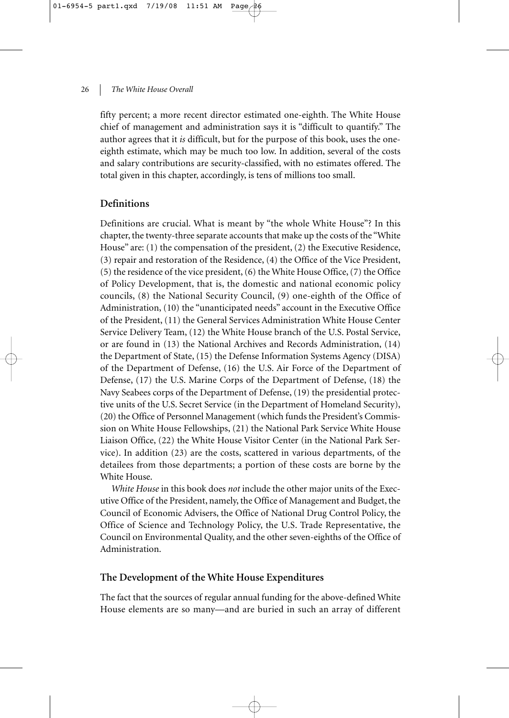fifty percent; a more recent director estimated one-eighth. The White House chief of management and administration says it is "difficult to quantify." The author agrees that it *is* difficult, but for the purpose of this book, uses the oneeighth estimate, which may be much too low. In addition, several of the costs and salary contributions are security-classified, with no estimates offered. The total given in this chapter, accordingly, is tens of millions too small.

# **Definitions**

Definitions are crucial. What is meant by "the whole White House"? In this chapter, the twenty-three separate accounts that make up the costs of the "White House" are: (1) the compensation of the president, (2) the Executive Residence, (3) repair and restoration of the Residence, (4) the Office of the Vice President, (5) the residence of the vice president, (6) the White House Office, (7) the Office of Policy Development, that is, the domestic and national economic policy councils, (8) the National Security Council, (9) one-eighth of the Office of Administration, (10) the "unanticipated needs" account in the Executive Office of the President, (11) the General Services Administration White House Center Service Delivery Team, (12) the White House branch of the U.S. Postal Service, or are found in (13) the National Archives and Records Administration, (14) the Department of State, (15) the Defense Information Systems Agency (DISA) of the Department of Defense, (16) the U.S. Air Force of the Department of Defense, (17) the U.S. Marine Corps of the Department of Defense, (18) the Navy Seabees corps of the Department of Defense, (19) the presidential protective units of the U.S. Secret Service (in the Department of Homeland Security), (20) the Office of Personnel Management (which funds the President's Commission on White House Fellowships, (21) the National Park Service White House Liaison Office, (22) the White House Visitor Center (in the National Park Service). In addition (23) are the costs, scattered in various departments, of the detailees from those departments; a portion of these costs are borne by the White House.

*White House* in this book does *not* include the other major units of the Executive Office of the President, namely, the Office of Management and Budget, the Council of Economic Advisers, the Office of National Drug Control Policy, the Office of Science and Technology Policy, the U.S. Trade Representative, the Council on Environmental Quality, and the other seven-eighths of the Office of Administration.

# **The Development of the White House Expenditures**

The fact that the sources of regular annual funding for the above-defined White House elements are so many—and are buried in such an array of different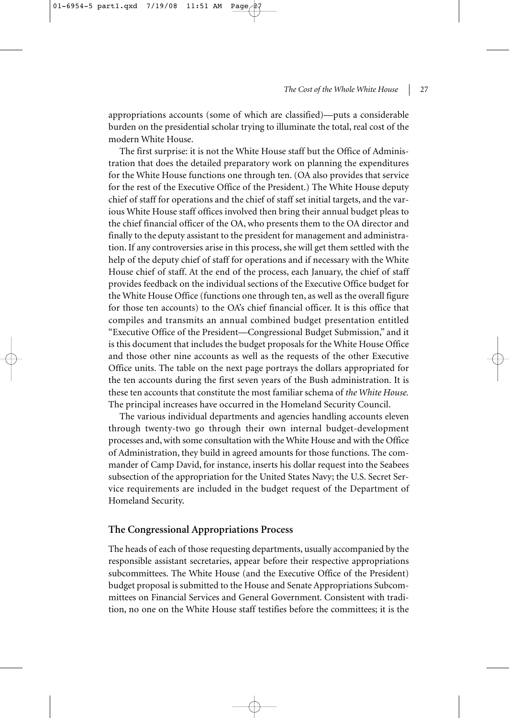appropriations accounts (some of which are classified)—puts a considerable burden on the presidential scholar trying to illuminate the total, real cost of the modern White House.

The first surprise: it is not the White House staff but the Office of Administration that does the detailed preparatory work on planning the expenditures for the White House functions one through ten. (OA also provides that service for the rest of the Executive Office of the President.) The White House deputy chief of staff for operations and the chief of staff set initial targets, and the various White House staff offices involved then bring their annual budget pleas to the chief financial officer of the OA, who presents them to the OA director and finally to the deputy assistant to the president for management and administration. If any controversies arise in this process, she will get them settled with the help of the deputy chief of staff for operations and if necessary with the White House chief of staff. At the end of the process, each January, the chief of staff provides feedback on the individual sections of the Executive Office budget for the White House Office (functions one through ten, as well as the overall figure for those ten accounts) to the OA's chief financial officer. It is this office that compiles and transmits an annual combined budget presentation entitled "Executive Office of the President—Congressional Budget Submission," and it is this document that includes the budget proposals for the White House Office and those other nine accounts as well as the requests of the other Executive Office units. The table on the next page portrays the dollars appropriated for the ten accounts during the first seven years of the Bush administration. It is these ten accounts that constitute the most familiar schema of *the White House.* The principal increases have occurred in the Homeland Security Council.

The various individual departments and agencies handling accounts eleven through twenty-two go through their own internal budget-development processes and, with some consultation with the White House and with the Office of Administration, they build in agreed amounts for those functions. The commander of Camp David, for instance, inserts his dollar request into the Seabees subsection of the appropriation for the United States Navy; the U.S. Secret Service requirements are included in the budget request of the Department of Homeland Security.

### **The Congressional Appropriations Process**

The heads of each of those requesting departments, usually accompanied by the responsible assistant secretaries, appear before their respective appropriations subcommittees. The White House (and the Executive Office of the President) budget proposal is submitted to the House and Senate Appropriations Subcommittees on Financial Services and General Government. Consistent with tradition, no one on the White House staff testifies before the committees; it is the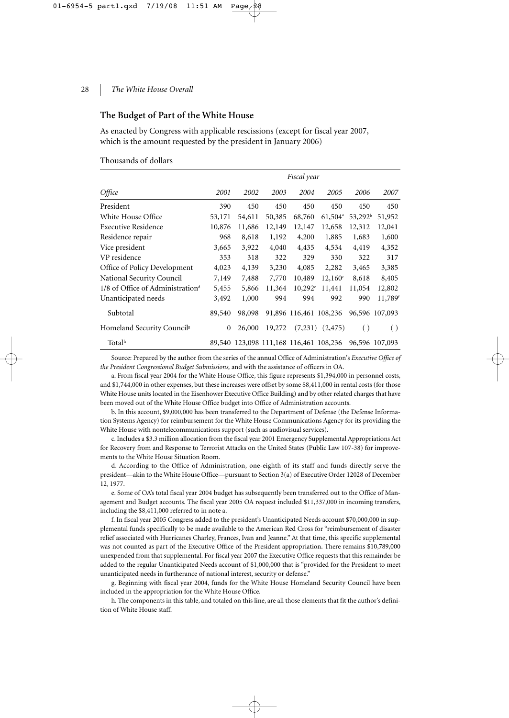#### **The Budget of Part of the White House**

As enacted by Congress with applicable rescissions (except for fiscal year 2007, which is the amount requested by the president in January 2006)

|                                              |              | Fiscal year |        |                                        |                     |                     |                |  |
|----------------------------------------------|--------------|-------------|--------|----------------------------------------|---------------------|---------------------|----------------|--|
| <i>Office</i>                                | 2001         | 2002        | 2003   | 2004                                   | 2005                | 2006                | 2007           |  |
| President                                    | 390          | 450         | 450    | 450                                    | 450                 | 450                 | 450            |  |
| White House Office                           | 53,171       | 54,611      | 50,385 | 68,760                                 | $61,504^{\circ}$    | 53,292 <sup>b</sup> | 51,952         |  |
| <b>Executive Residence</b>                   | 10,876       | 11,686      | 12,149 | 12,147                                 | 12,658              | 12,312              | 12,041         |  |
| Residence repair                             | 968          | 8,618       | 1,192  | 4,200                                  | 1,885               | 1,683               | 1,600          |  |
| Vice president                               | 3,665        | 3,922       | 4,040  | 4,435                                  | 4,534               | 4,419               | 4,352          |  |
| VP residence                                 | 353          | 318         | 322    | 329                                    | 330                 | 322                 | 317            |  |
| Office of Policy Development                 | 4,023        | 4,139       | 3,230  | 4,085                                  | 2,282               | 3,465               | 3,385          |  |
| National Security Council                    | 7,149        | 7,488       | 7,770  | 10,489                                 | $12,160^{\circ}$    | 8,618               | 8,405          |  |
| 1/8 of Office of Administration <sup>d</sup> | 5,455        | 5,866       | 11,364 | $10,292^e$                             | 11,441              | 11,054              | 12,802         |  |
| Unanticipated needs                          | 3,492        | 1,000       | 994    | 994                                    | 992                 | 990                 | 11,789f        |  |
| Subtotal                                     | 89,540       | 98,098      |        | 91,896 116,461 108,236                 |                     |                     | 96,596 107,093 |  |
| Homeland Security Council <sup>g</sup>       | $\mathbf{0}$ | 26,000      | 19,272 |                                        | $(7,231)$ $(2,475)$ | ( )                 | ( )            |  |
| Totalh                                       |              |             |        | 89,540 123,098 111,168 116,461 108,236 |                     |                     | 96,596 107,093 |  |

#### Thousands of dollars

Source: Prepared by the author from the series of the annual Office of Administration's *Executive Office of the President Congressional Budget Submissions,* and with the assistance of officers in OA.

a. From fiscal year 2004 for the White House Office, this figure represents \$1,394,000 in personnel costs, and \$1,744,000 in other expenses, but these increases were offset by some \$8,411,000 in rental costs (for those White House units located in the Eisenhower Executive Office Building) and by other related charges that have been moved out of the White House Office budget into Office of Administration accounts.

b. In this account, \$9,000,000 has been transferred to the Department of Defense (the Defense Information Systems Agency) for reimbursement for the White House Communications Agency for its providing the White House with nontelecommunications support (such as audiovisual services).

c. Includes a \$3.3 million allocation from the fiscal year 2001 Emergency Supplemental Appropriations Act for Recovery from and Response to Terrorist Attacks on the United States (Public Law 107-38) for improvements to the White House Situation Room.

d. According to the Office of Administration, one-eighth of its staff and funds directly serve the president—akin to the White House Office—pursuant to Section 3(a) of Executive Order 12028 of December 12, 1977.

e. Some of OA's total fiscal year 2004 budget has subsequently been transferred out to the Office of Management and Budget accounts. The fiscal year 2005 OA request included \$11,337,000 in incoming transfers, including the \$8,411,000 referred to in note a.

f. In fiscal year 2005 Congress added to the president's Unanticipated Needs account \$70,000,000 in supplemental funds specifically to be made available to the American Red Cross for "reimbursement of disaster relief associated with Hurricanes Charley, Frances, Ivan and Jeanne." At that time, this specific supplemental was not counted as part of the Executive Office of the President appropriation. There remains \$10,789,000 unexpended from that supplemental. For fiscal year 2007 the Executive Office requests that this remainder be added to the regular Unanticipated Needs account of \$1,000,000 that is "provided for the President to meet unanticipated needs in furtherance of national interest, security or defense."

g. Beginning with fiscal year 2004, funds for the White House Homeland Security Council have been included in the appropriation for the White House Office.

h. The components in this table, and totaled on this line, are all those elements that fit the author's definition of White House staff.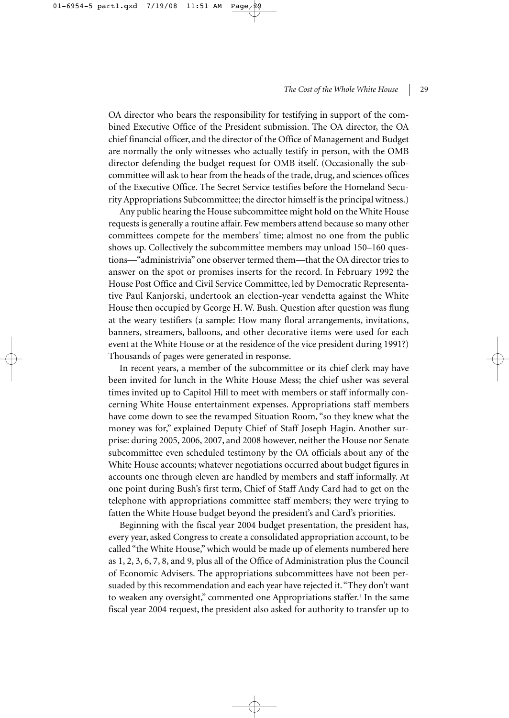OA director who bears the responsibility for testifying in support of the combined Executive Office of the President submission. The OA director, the OA chief financial officer, and the director of the Office of Management and Budget are normally the only witnesses who actually testify in person, with the OMB director defending the budget request for OMB itself. (Occasionally the subcommittee will ask to hear from the heads of the trade, drug, and sciences offices of the Executive Office. The Secret Service testifies before the Homeland Security Appropriations Subcommittee; the director himself is the principal witness.)

Any public hearing the House subcommittee might hold on the White House requests is generally a routine affair. Few members attend because so many other committees compete for the members' time; almost no one from the public shows up. Collectively the subcommittee members may unload 150–160 questions—"administrivia" one observer termed them—that the OA director tries to answer on the spot or promises inserts for the record. In February 1992 the House Post Office and Civil Service Committee, led by Democratic Representative Paul Kanjorski, undertook an election-year vendetta against the White House then occupied by George H. W. Bush. Question after question was flung at the weary testifiers (a sample: How many floral arrangements, invitations, banners, streamers, balloons, and other decorative items were used for each event at the White House or at the residence of the vice president during 1991?) Thousands of pages were generated in response.

In recent years, a member of the subcommittee or its chief clerk may have been invited for lunch in the White House Mess; the chief usher was several times invited up to Capitol Hill to meet with members or staff informally concerning White House entertainment expenses. Appropriations staff members have come down to see the revamped Situation Room, "so they knew what the money was for," explained Deputy Chief of Staff Joseph Hagin. Another surprise: during 2005, 2006, 2007, and 2008 however, neither the House nor Senate subcommittee even scheduled testimony by the OA officials about any of the White House accounts; whatever negotiations occurred about budget figures in accounts one through eleven are handled by members and staff informally. At one point during Bush's first term, Chief of Staff Andy Card had to get on the telephone with appropriations committee staff members; they were trying to fatten the White House budget beyond the president's and Card's priorities.

Beginning with the fiscal year 2004 budget presentation, the president has, every year, asked Congress to create a consolidated appropriation account, to be called "the White House," which would be made up of elements numbered here as 1, 2, 3, 6, 7, 8, and 9, plus all of the Office of Administration plus the Council of Economic Advisers. The appropriations subcommittees have not been persuaded by this recommendation and each year have rejected it."They don't want to weaken any oversight," commented one Appropriations staffer.<sup>1</sup> In the same fiscal year 2004 request, the president also asked for authority to transfer up to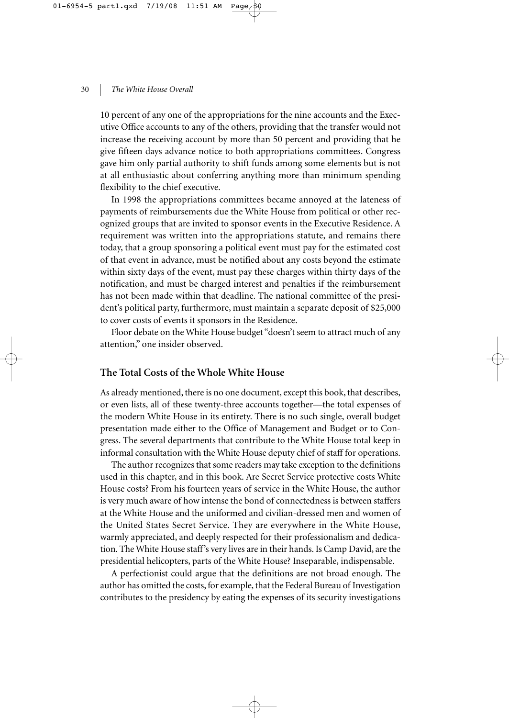10 percent of any one of the appropriations for the nine accounts and the Executive Office accounts to any of the others, providing that the transfer would not increase the receiving account by more than 50 percent and providing that he give fifteen days advance notice to both appropriations committees. Congress gave him only partial authority to shift funds among some elements but is not at all enthusiastic about conferring anything more than minimum spending flexibility to the chief executive.

In 1998 the appropriations committees became annoyed at the lateness of payments of reimbursements due the White House from political or other recognized groups that are invited to sponsor events in the Executive Residence. A requirement was written into the appropriations statute, and remains there today, that a group sponsoring a political event must pay for the estimated cost of that event in advance, must be notified about any costs beyond the estimate within sixty days of the event, must pay these charges within thirty days of the notification, and must be charged interest and penalties if the reimbursement has not been made within that deadline. The national committee of the president's political party, furthermore, must maintain a separate deposit of \$25,000 to cover costs of events it sponsors in the Residence.

Floor debate on the White House budget "doesn't seem to attract much of any attention," one insider observed.

#### **The Total Costs of the Whole White House**

As already mentioned, there is no one document, except this book, that describes, or even lists, all of these twenty-three accounts together—the total expenses of the modern White House in its entirety. There is no such single, overall budget presentation made either to the Office of Management and Budget or to Congress. The several departments that contribute to the White House total keep in informal consultation with the White House deputy chief of staff for operations.

The author recognizes that some readers may take exception to the definitions used in this chapter, and in this book. Are Secret Service protective costs White House costs? From his fourteen years of service in the White House, the author is very much aware of how intense the bond of connectedness is between staffers at the White House and the uniformed and civilian-dressed men and women of the United States Secret Service. They are everywhere in the White House, warmly appreciated, and deeply respected for their professionalism and dedication. The White House staff's very lives are in their hands. Is Camp David, are the presidential helicopters, parts of the White House? Inseparable, indispensable.

A perfectionist could argue that the definitions are not broad enough. The author has omitted the costs, for example, that the Federal Bureau of Investigation contributes to the presidency by eating the expenses of its security investigations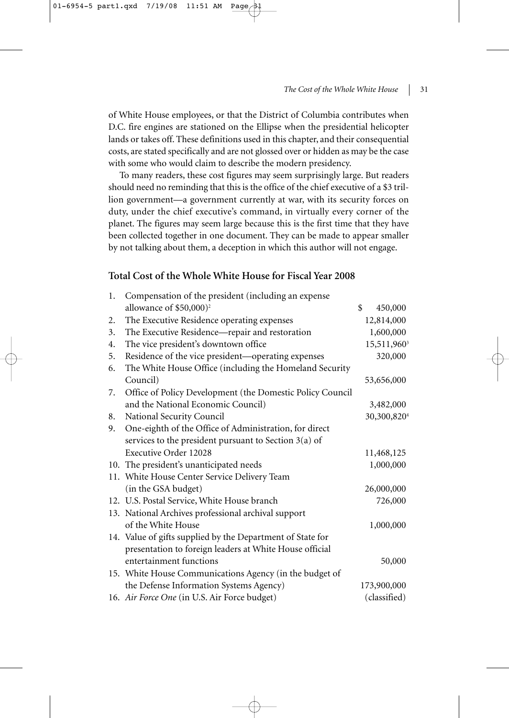of White House employees, or that the District of Columbia contributes when D.C. fire engines are stationed on the Ellipse when the presidential helicopter lands or takes off. These definitions used in this chapter, and their consequential costs, are stated specifically and are not glossed over or hidden as may be the case with some who would claim to describe the modern presidency.

To many readers, these cost figures may seem surprisingly large. But readers should need no reminding that this is the office of the chief executive of a \$3 trillion government—a government currently at war, with its security forces on duty, under the chief executive's command, in virtually every corner of the planet. The figures may seem large because this is the first time that they have been collected together in one document. They can be made to appear smaller by not talking about them, a deception in which this author will not engage.

## **Total Cost of the Whole White House for Fiscal Year 2008**

| 1. | Compensation of the president (including an expense        |            |                         |
|----|------------------------------------------------------------|------------|-------------------------|
|    | allowance of \$50,000) <sup>2</sup>                        | \$         | 450,000                 |
| 2. | The Executive Residence operating expenses                 | 12,814,000 |                         |
| 3. | The Executive Residence-repair and restoration             | 1,600,000  |                         |
| 4. | The vice president's downtown office                       |            | 15,511,960 <sup>3</sup> |
| 5. | Residence of the vice president—operating expenses         | 320,000    |                         |
| 6. | The White House Office (including the Homeland Security    |            |                         |
|    | Council)                                                   |            | 53,656,000              |
| 7. | Office of Policy Development (the Domestic Policy Council  |            |                         |
|    | and the National Economic Council)                         |            | 3,482,000               |
| 8. | National Security Council                                  |            | 30,300,8204             |
| 9. | One-eighth of the Office of Administration, for direct     |            |                         |
|    | services to the president pursuant to Section $3(a)$ of    |            |                         |
|    | <b>Executive Order 12028</b>                               |            | 11,468,125              |
|    | 10. The president's unanticipated needs                    |            | 1,000,000               |
|    | 11. White House Center Service Delivery Team               |            |                         |
|    | (in the GSA budget)                                        |            | 26,000,000              |
|    | 12. U.S. Postal Service, White House branch                |            | 726,000                 |
|    | 13. National Archives professional archival support        |            |                         |
|    | of the White House                                         |            | 1,000,000               |
|    | 14. Value of gifts supplied by the Department of State for |            |                         |
|    | presentation to foreign leaders at White House official    |            |                         |
|    | entertainment functions                                    |            | 50,000                  |
|    | 15. White House Communications Agency (in the budget of    |            |                         |
|    | the Defense Information Systems Agency)                    |            | 173,900,000             |
|    | 16. Air Force One (in U.S. Air Force budget)               |            | (classified)            |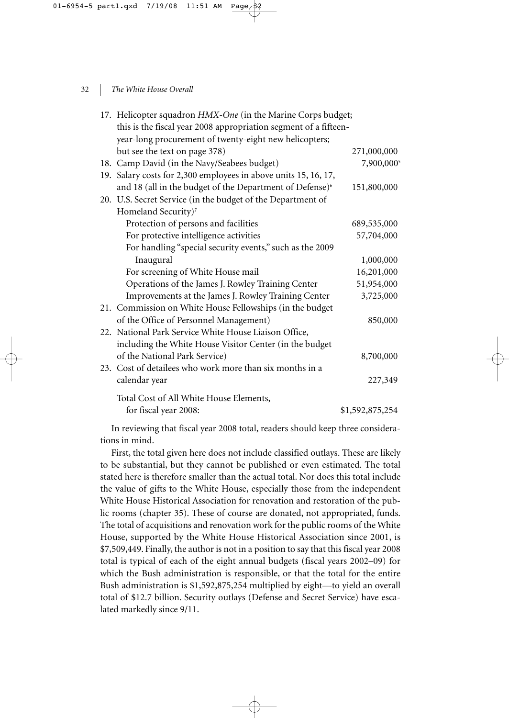| 17. Helicopter squadron HMX-One (in the Marine Corps budget;         |                        |
|----------------------------------------------------------------------|------------------------|
| this is the fiscal year 2008 appropriation segment of a fifteen-     |                        |
| year-long procurement of twenty-eight new helicopters;               |                        |
| but see the text on page 378)                                        | 271,000,000            |
| 18. Camp David (in the Navy/Seabees budget)                          | 7,900,000 <sup>5</sup> |
| 19. Salary costs for 2,300 employees in above units 15, 16, 17,      |                        |
| and 18 (all in the budget of the Department of Defense) <sup>6</sup> | 151,800,000            |
| 20. U.S. Secret Service (in the budget of the Department of          |                        |
| Homeland Security)7                                                  |                        |
| Protection of persons and facilities                                 | 689,535,000            |
| For protective intelligence activities                               | 57,704,000             |
| For handling "special security events," such as the 2009             |                        |
| Inaugural                                                            | 1,000,000              |
| For screening of White House mail                                    | 16,201,000             |
| Operations of the James J. Rowley Training Center                    | 51,954,000             |
| Improvements at the James J. Rowley Training Center                  | 3,725,000              |
| 21. Commission on White House Fellowships (in the budget             |                        |
| of the Office of Personnel Management)                               | 850,000                |
| 22. National Park Service White House Liaison Office,                |                        |
| including the White House Visitor Center (in the budget              |                        |
| of the National Park Service)                                        | 8,700,000              |
| 23. Cost of detailees who work more than six months in a             |                        |
| calendar year                                                        | 227,349                |
| Total Cost of All White House Elements,                              |                        |
| for fiscal year 2008:                                                | \$1,592,875,254        |

In reviewing that fiscal year 2008 total, readers should keep three considerations in mind.

First, the total given here does not include classified outlays. These are likely to be substantial, but they cannot be published or even estimated. The total stated here is therefore smaller than the actual total. Nor does this total include the value of gifts to the White House, especially those from the independent White House Historical Association for renovation and restoration of the public rooms (chapter 35). These of course are donated, not appropriated, funds. The total of acquisitions and renovation work for the public rooms of the White House, supported by the White House Historical Association since 2001, is \$7,509,449. Finally, the author is not in a position to say that this fiscal year 2008 total is typical of each of the eight annual budgets (fiscal years 2002–09) for which the Bush administration is responsible, or that the total for the entire Bush administration is \$1,592,875,254 multiplied by eight—to yield an overall total of \$12.7 billion. Security outlays (Defense and Secret Service) have escalated markedly since 9/11.